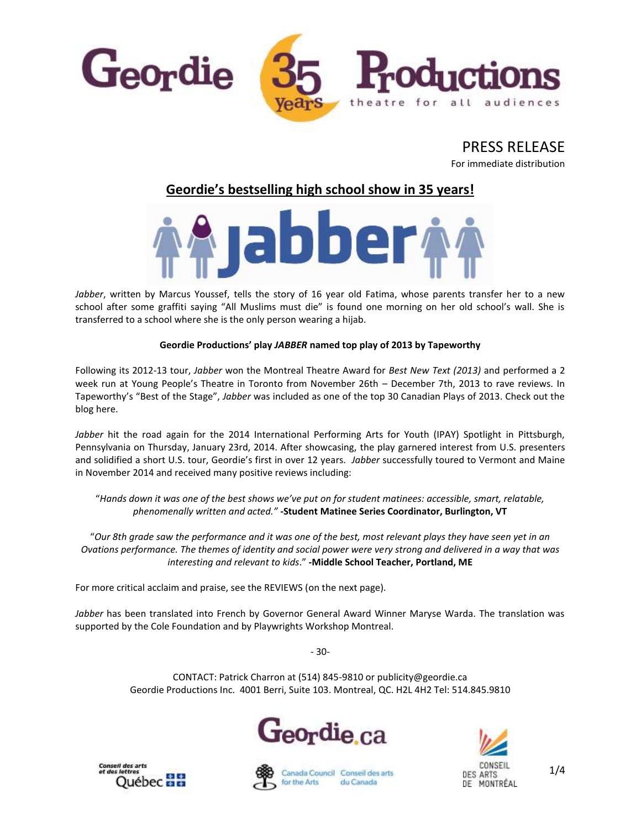

PRESS RELEASE For immediate distribution

# **Geordie's bestselling high school show in 35 years!**



*Jabber*, written by Marcus Youssef, tells the story of 16 year old Fatima, whose parents transfer her to a new school after some graffiti saying "All Muslims must die" is found one morning on her old school's wall. She is transferred to a school where she is the only person wearing a hijab.

# **Geordie Productions' play** *JABBER* **named top play of 2013 by Tapeworthy**

Following its 2012-13 tour, *Jabber* won the Montreal Theatre Award for *Best New Text (2013)* and performed a 2 week run at Young People's Theatre in Toronto from November 26th – December 7th, 2013 to rave reviews. In Tapeworthy's "Best of the Stage", *Jabber* was included as one of the top 30 Canadian Plays of 2013. Check out the blog here.

*Jabber* hit the road again for the 2014 International Performing Arts for Youth (IPAY) Spotlight in Pittsburgh, Pennsylvania on Thursday, January 23rd, 2014. After showcasing, the play garnered interest from U.S. presenters and solidified a short U.S. tour, Geordie's first in over 12 years. *Jabber* successfully toured to Vermont and Maine in November 2014 and received many positive reviews including:

"*Hands down it was one of the best shows we've put on for student matinees: accessible, smart, relatable, phenomenally written and acted." -***Student Matinee Series Coordinator, Burlington, VT**

"*Our 8th grade saw the performance and it was one of the best, most relevant plays they have seen yet in an Ovations performance. The themes of identity and social power were very strong and delivered in a way that was interesting and relevant to kids*." **-Middle School Teacher, Portland, ME**

For more critical acclaim and praise, see the REVIEWS (on the next page).

*Jabber* has been translated into French by Governor General Award Winner Maryse Warda. The translation was supported by the Cole Foundation and by Playwrights Workshop Montreal.

- 30-

CONTACT: Patrick Charron at (514) 845-9810 or publicity@geordie.ca Geordie Productions Inc. 4001 Berri, Suite 103. Montreal, QC. H2L 4H2 Tel: 514.845.9810









Canada Council Conseil des arts du Canada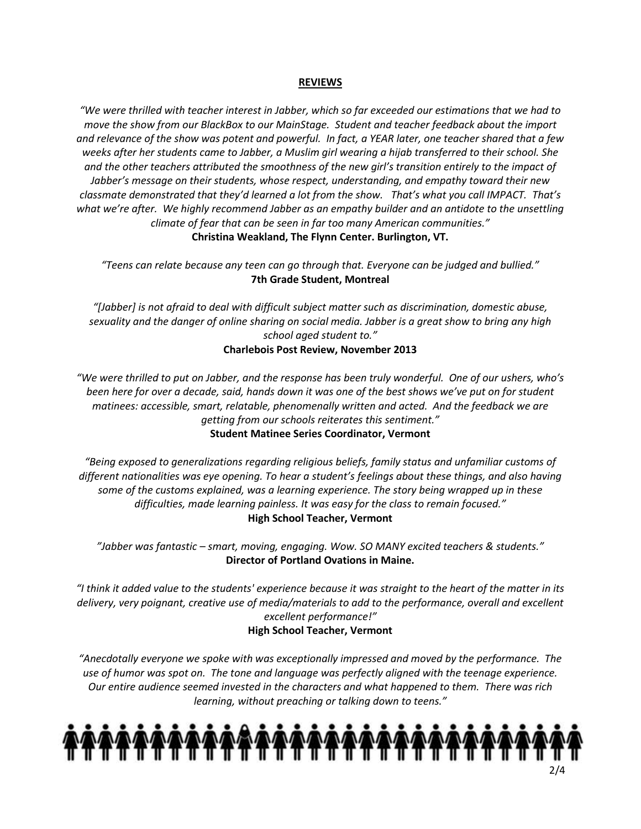## **REVIEWS**

*"We were thrilled with teacher interest in Jabber, which so far exceeded our estimations that we had to move the show from our BlackBox to our MainStage. Student and teacher feedback about the import and relevance of the show was potent and powerful. In fact, a YEAR later, one teacher shared that a few weeks after her students came to Jabber, a Muslim girl wearing a hijab transferred to their school. She and the other teachers attributed the smoothness of the new girl's transition entirely to the impact of Jabber's message on their students, whose respect, understanding, and empathy toward their new classmate demonstrated that they'd learned a lot from the show. That's what you call IMPACT. That's what we're after. We highly recommend Jabber as an empathy builder and an antidote to the unsettling climate of fear that can be seen in far too many American communities."*  **Christina Weakland, The Flynn Center. Burlington, VT.**

*"Teens can relate because any teen can go through that. Everyone can be judged and bullied."* **7th Grade Student, Montreal**

*"[Jabber] is not afraid to deal with difficult subject matter such as discrimination, domestic abuse, sexuality and the danger of online sharing on social media. Jabber is a great show to bring any high school aged student to."* **Charlebois Post Review, November 2013**

*"We were thrilled to put on Jabber, and the response has been truly wonderful. One of our ushers, who's been here for over a decade, said, hands down it was one of the best shows we've put on for student matinees: accessible, smart, relatable, phenomenally written and acted. And the feedback we are getting from our schools reiterates this sentiment."* **Student Matinee Series Coordinator, Vermont**

*"Being exposed to generalizations regarding religious beliefs, family status and unfamiliar customs of different nationalities was eye opening. To hear a student's feelings about these things, and also having some of the customs explained, was a learning experience. The story being wrapped up in these difficulties, made learning painless. It was easy for the class to remain focused."* **High School Teacher, Vermont**

*"Jabber was fantastic – smart, moving, engaging. Wow. SO MANY excited teachers & students."*  **Director of Portland Ovations in Maine.**

*"I think it added value to the students' experience because it was straight to the heart of the matter in its delivery, very poignant, creative use of media/materials to add to the performance, overall and excellent excellent performance!"* **High School Teacher, Vermont**

*"Anecdotally everyone we spoke with was exceptionally impressed and moved by the performance. The use of humor was spot on. The tone and language was perfectly aligned with the teenage experience. Our entire audience seemed invested in the characters and what happened to them. There was rich learning, without preaching or talking down to teens."*

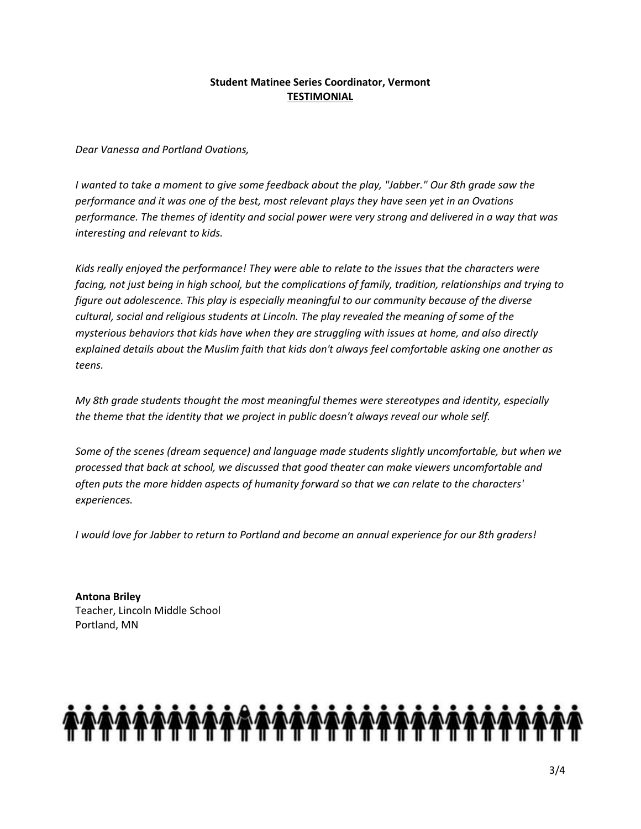# **Student Matinee Series Coordinator, Vermont TESTIMONIAL**

*Dear Vanessa and Portland Ovations,*

*I wanted to take a moment to give some feedback about the play, "Jabber." Our 8th grade saw the performance and it was one of the best, most relevant plays they have seen yet in an Ovations performance. The themes of identity and social power were very strong and delivered in a way that was interesting and relevant to kids.* 

*Kids really enjoyed the performance! They were able to relate to the issues that the characters were facing, not just being in high school, but the complications of family, tradition, relationships and trying to figure out adolescence. This play is especially meaningful to our community because of the diverse cultural, social and religious students at Lincoln. The play revealed the meaning of some of the mysterious behaviors that kids have when they are struggling with issues at home, and also directly explained details about the Muslim faith that kids don't always feel comfortable asking one another as teens.* 

*My 8th grade students thought the most meaningful themes were stereotypes and identity, especially the theme that the identity that we project in public doesn't always reveal our whole self.* 

*Some of the scenes (dream sequence) and language made students slightly uncomfortable, but when we processed that back at school, we discussed that good theater can make viewers uncomfortable and often puts the more hidden aspects of humanity forward so that we can relate to the characters' experiences.*

*I would love for Jabber to return to Portland and become an annual experience for our 8th graders!*

**Antona Briley** Teacher, Lincoln Middle School Portland, MN